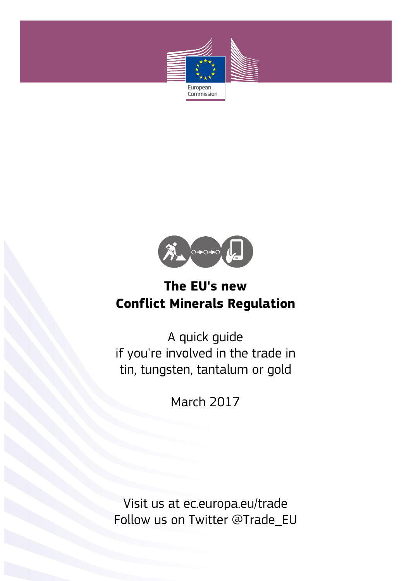



A quick guide if you're involved in the trade in tin, tungsten, tantalum or gold

March 2017

Visit us at ec.europa.eu/trade Follow us on Twitter @Trade\_EU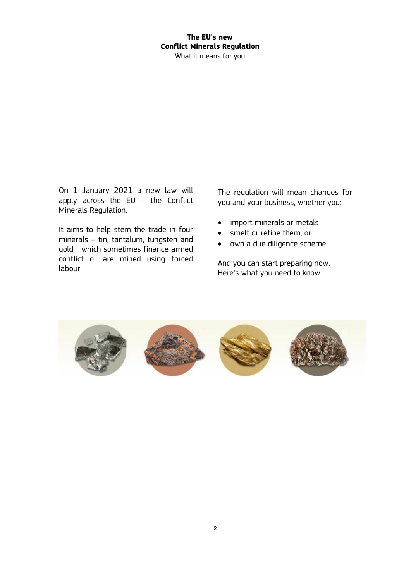What it means for you

On 1 January 2021 a new law will apply across the EU – the Conflict Minerals Regulation.

It aims to help stem the trade in four minerals – tin, tantalum, tungsten and gold - which sometimes finance armed conflict or are mined using forced labour.

The regulation will mean changes for you and your business, whether you:

- import minerals or metals
- smelt or refine them, or
- own a due diligence scheme.

And you can start preparing now. Here's what you need to know.

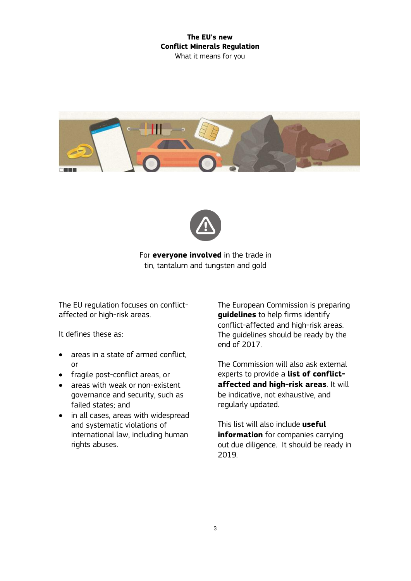What it means for you





For **everyone involved** in the trade in tin, tantalum and tungsten and gold

The EU regulation focuses on conflictaffected or high-risk areas.

It defines these as:

- areas in a state of armed conflict. or
- fragile post-conflict areas, or
- areas with weak or non-existent governance and security, such as failed states; and
- in all cases, areas with widespread and systematic violations of international law, including human rights abuses.

The European Commission is preparing **guidelines** to help firms identify conflict-affected and high-risk areas. The guidelines should be ready by the end of 2017.

The Commission will also ask external experts to provide a **list of conflictaffected and high-risk areas**. It will be indicative, not exhaustive, and regularly updated.

This list will also include **useful information** for companies carrying out due diligence. It should be ready in 2019.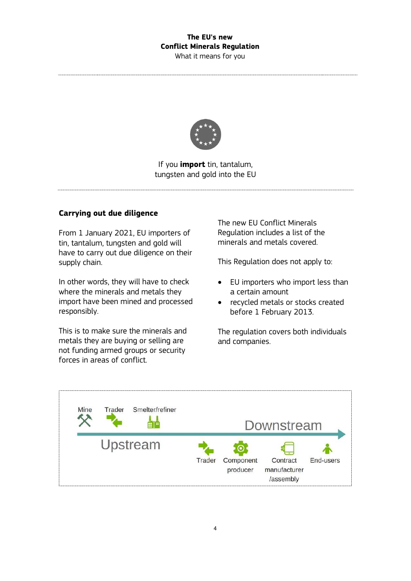What it means for you



If you **import** tin, tantalum, tungsten and gold into the EU

#### **Carrying out due diligence**

From 1 January 2021, EU importers of tin, tantalum, tungsten and gold will have to carry out due diligence on their supply chain.

In other words, they will have to check where the minerals and metals they import have been mined and processed responsibly.

This is to make sure the minerals and metals they are buying or selling are not funding armed groups or security forces in areas of conflict.

The new EU Conflict Minerals Regulation includes a list of the minerals and metals covered.

This Regulation does not apply to:

- EU importers who import less than a certain amount
- recycled metals or stocks created before 1 February 2013.

The regulation covers both individuals and companies.

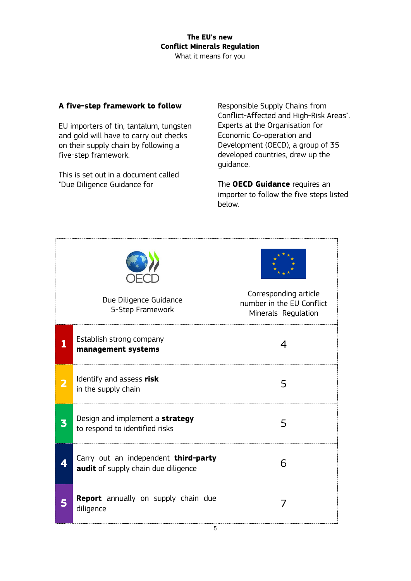What it means for you

#### **A five-step framework to follow**

EU importers of tin, tantalum, tungsten and gold will have to carry out checks on their supply chain by following a five-step framework.

This is set out in a document called "Due Diligence Guidance for

Responsible Supply Chains from Conflict-Affected and High-Risk Areas". Experts at the Organisation for Economic Co-operation and Development (OECD), a group of 35 developed countries, drew up the guidance.

The **OECD Guidance** requires an importer to follow the five steps listed below.

| Due Diligence Guidance<br>5-Step Framework |                                                                             | Corresponding article<br>number in the EU Conflict<br>Minerals Regulation |
|--------------------------------------------|-----------------------------------------------------------------------------|---------------------------------------------------------------------------|
|                                            | Establish strong company<br>management systems                              | 4                                                                         |
| 2                                          | Identify and assess risk<br>in the supply chain                             | 5                                                                         |
| 3                                          | Design and implement a strategy<br>to respond to identified risks           | 5                                                                         |
|                                            | Carry out an independent third-party<br>audit of supply chain due diligence | 6                                                                         |
| 5                                          | Report annually on supply chain due<br>diligence                            |                                                                           |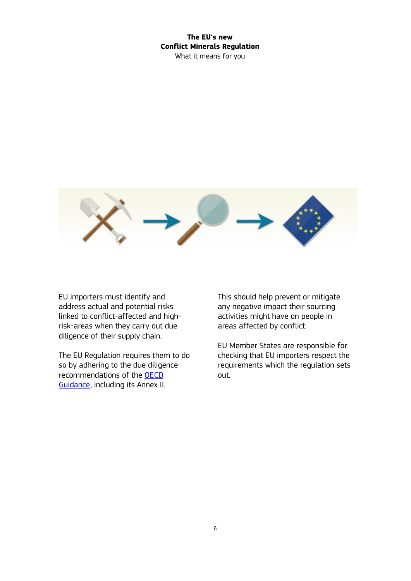What it means for you



EU importers must identify and address actual and potential risks linked to conflict-affected and highrisk-areas when they carry out due diligence of their supply chain.

The EU Regulation requires them to do so by adhering to the due diligence recommendations of the [OECD](http://www.oecd.org/daf/inv/mne/mining.htm)  [Guidance](http://www.oecd.org/daf/inv/mne/mining.htm), including its Annex II.

This should help prevent or mitigate any negative impact their sourcing activities might have on people in areas affected by conflict.

EU Member States are responsible for checking that EU importers respect the requirements which the regulation sets out.